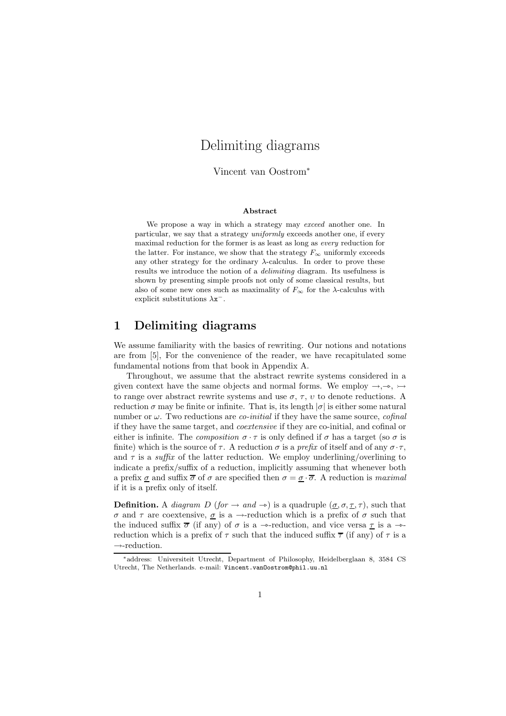# Delimiting diagrams

Vincent van Oostrom<sup>∗</sup>

#### Abstract

We propose a way in which a strategy may exceed another one. In particular, we say that a strategy uniformly exceeds another one, if every maximal reduction for the former is as least as long as every reduction for the latter. For instance, we show that the strategy  $F_{\infty}$  uniformly exceeds any other strategy for the ordinary  $\lambda$ -calculus. In order to prove these results we introduce the notion of a *delimiting* diagram. Its usefulness is shown by presenting simple proofs not only of some classical results, but also of some new ones such as maximality of  $F_{\infty}$  for the  $\lambda$ -calculus with explicit substitutions  $\lambda x^{-}$ .

#### 1 Delimiting diagrams

We assume familiarity with the basics of rewriting. Our notions and notations are from [5], For the convenience of the reader, we have recapitulated some fundamental notions from that book in Appendix A.

Throughout, we assume that the abstract rewrite systems considered in a given context have the same objects and normal forms. We employ  $\rightarrow, \rightarrow, \rightarrow$ to range over abstract rewrite systems and use  $\sigma$ ,  $\tau$ ,  $\upsilon$  to denote reductions. A reduction  $\sigma$  may be finite or infinite. That is, its length  $|\sigma|$  is either some natural number or  $\omega$ . Two reductions are *co-initial* if they have the same source, *cofinal* if they have the same target, and coextensive if they are co-initial, and cofinal or either is infinite. The *composition*  $\sigma \cdot \tau$  is only defined if  $\sigma$  has a target (so  $\sigma$  is finite) which is the source of  $\tau$ . A reduction  $\sigma$  is a prefix of itself and of any  $\sigma \cdot \tau$ , and  $\tau$  is a *suffix* of the latter reduction. We employ underlining/overlining to indicate a prefix/suffix of a reduction, implicitly assuming that whenever both a prefix  $\sigma$  and suffix  $\overline{\sigma}$  of  $\sigma$  are specified then  $\sigma = \sigma \cdot \overline{\sigma}$ . A reduction is *maximal* if it is a prefix only of itself.

**Definition.** A *diagram D* (for  $\rightarrow$  and  $\rightarrow$ ) is a quadruple ( $\underline{\sigma}, \sigma, \underline{\tau}, \tau$ ), such that σ and τ are coextensive, σ is a →-reduction which is a prefix of σ such that the induced suffix  $\overline{\sigma}$  (if any) of  $\sigma$  is a  $\rightarrow$ -reduction, and vice versa  $\underline{\tau}$  is a  $\rightarrow$ reduction which is a prefix of  $\tau$  such that the induced suffix  $\overline{\tau}$  (if any) of  $\tau$  is a  $\rightarrow$  -reduction.

<sup>∗</sup>address: Universiteit Utrecht, Department of Philosophy, Heidelberglaan 8, 3584 CS Utrecht, The Netherlands. e-mail: Vincent.vanOostrom@phil.uu.nl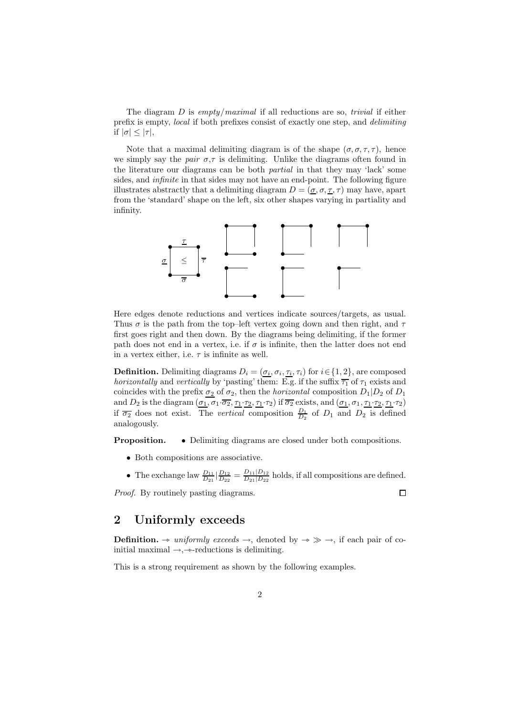The diagram  $D$  is empty/maximal if all reductions are so, trivial if either prefix is empty, local if both prefixes consist of exactly one step, and delimiting if  $|\sigma| \leq |\tau|$ ,

Note that a maximal delimiting diagram is of the shape  $(\sigma, \sigma, \tau, \tau)$ , hence we simply say the pair  $\sigma$ ,  $\tau$  is delimiting. Unlike the diagrams often found in the literature our diagrams can be both partial in that they may 'lack' some sides, and infinite in that sides may not have an end-point. The following figure illustrates abstractly that a delimiting diagram  $D = (\underline{\sigma}, \sigma, \underline{\tau}, \tau)$  may have, apart from the 'standard' shape on the left, six other shapes varying in partiality and infinity.



Here edges denote reductions and vertices indicate sources/targets, as usual. Thus  $\sigma$  is the path from the top–left vertex going down and then right, and  $\tau$ first goes right and then down. By the diagrams being delimiting, if the former path does not end in a vertex, i.e. if  $\sigma$  is infinite, then the latter does not end in a vertex either, i.e.  $\tau$  is infinite as well.

**Definition.** Delimiting diagrams  $D_i = (\sigma_i, \sigma_i, \tau_i, \tau_i)$  for  $i \in \{1, 2\}$ , are composed *horizontally* and *vertically* by 'pasting' them: E.g. if the suffix  $\overline{\tau_1}$  of  $\tau_1$  exists and coincides with the prefix  $\sigma_2$  of  $\sigma_2$ , then the *horizontal* composition  $D_1|D_2$  of  $D_1$ and  $D_2$  is the diagram  $(\underline{\sigma_1}, \sigma_1 \cdot \overline{\sigma_2}, \underline{\tau_1} \cdot \underline{\tau_2}, \underline{\tau_1} \cdot \tau_2)$  if  $\overline{\sigma_2}$  exists, and  $(\underline{\sigma_1}, \sigma_1, \underline{\tau_1} \cdot \underline{\tau_2}, \underline{\tau_1} \cdot \tau_2)$ if  $\overline{\sigma_2}$  does not exist. The *vertical* composition  $\frac{D_1}{D_2}$  of  $D_1$  and  $D_2$  is defined analogously.

**Proposition.** • Delimiting diagrams are closed under both compositions.

- Both compositions are associative.
- The exchange law  $\frac{D_{11}}{D_{21}}\left|\frac{D_{12}}{D_{22}}\right| = \frac{D_{11}|D_{12}}{D_{21}|D_{22}}$  $\frac{D_{11}|D_{12}}{D_{21}|D_{22}}$  holds, if all compositions are defined.

 $\Box$ 

Proof. By routinely pasting diagrams.

## 2 Uniformly exceeds

**Definition.**  $\rightarrow$  uniformly exceeds  $\rightarrow$ , denoted by  $\rightarrow \gg \rightarrow$ , if each pair of coinitial maximal  $\rightarrow, \rightarrow$ -reductions is delimiting.

This is a strong requirement as shown by the following examples.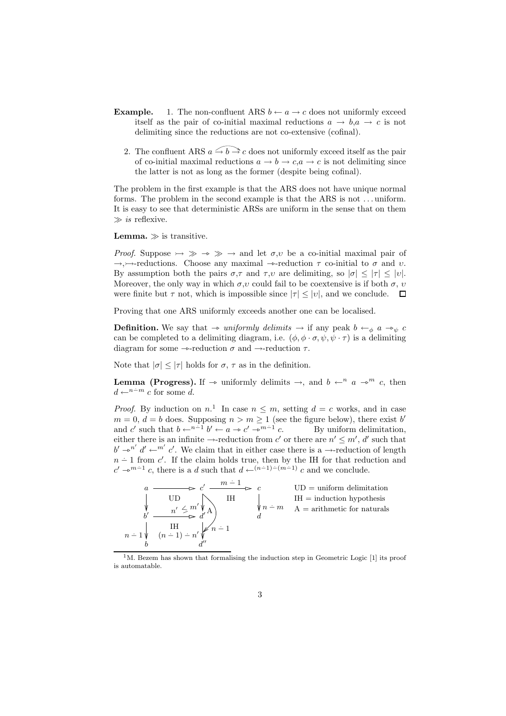- **Example.** 1. The non-confluent ARS  $b \leftarrow a \rightarrow c$  does not uniformly exceed itself as the pair of co-initial maximal reductions  $a \rightarrow b, a \rightarrow c$  is not delimiting since the reductions are not co-extensive (cofinal).
	- 2. The confluent ARS  $a \rightarrow b \rightarrow c$  does not uniformly exceed itself as the pair of co-initial maximal reductions  $a \to b \to c, a \to c$  is not delimiting since the latter is not as long as the former (despite being cofinal).

The problem in the first example is that the ARS does not have unique normal forms. The problem in the second example is that the ARS is not . . . uniform. It is easy to see that deterministic ARSs are uniform in the sense that on them  $\gg$  is reflexive.

**Lemma.**  $\gg$  is transitive.

*Proof.* Suppose  $\rightarrow \gg \rightarrow \gg \rightarrow$  and let  $\sigma, \nu$  be a co-initial maximal pair of  $\rightarrow$ , $\rightarrow$ -reductions. Choose any maximal  $\rightarrow$ -reduction  $\tau$  co-initial to  $\sigma$  and  $\upsilon$ . By assumption both the pairs  $\sigma, \tau$  and  $\tau, \nu$  are delimiting, so  $|\sigma| \leq |\tau| \leq |\nu|$ . Moreover, the only way in which  $\sigma, \nu$  could fail to be coextensive is if both  $\sigma, \nu$ were finite but  $\tau$  not, which is impossible since  $|\tau| \leq |v|$ , and we conclude.  $\Box$ 

Proving that one ARS uniformly exceeds another one can be localised.

**Definition.** We say that  $\rightarrow$  uniformly delimits  $\rightarrow$  if any peak  $b \leftarrow_{\phi} a \rightarrow_{\psi} c$ can be completed to a delimiting diagram, i.e.  $(\phi, \phi \cdot \sigma, \psi, \psi \cdot \tau)$  is a delimiting diagram for some  $\rightarrow$ -reduction  $\sigma$  and  $\rightarrow$ -reduction  $\tau$ .

Note that  $|\sigma| \leq |\tau|$  holds for  $\sigma$ ,  $\tau$  as in the definition.

**Lemma (Progress).** If  $\rightarrow$  uniformly delimits  $\rightarrow$ , and  $b \leftarrow^n a \rightarrow^m c$ , then  $d \leftarrow^{n-m} c$  for some d.

*Proof.* By induction on  $n^1$ . In case  $n \leq m$ , setting  $d = c$  works, and in case  $m = 0, d = b$  does. Supposing  $n > m \ge 1$  (see the figure below), there exist b' and c' such that  $b \leftarrow^{n-1} b' \leftarrow a \rightarrow c' \rightarrow^{m-1} b''$ By uniform delimitation, either there is an infinite  $\rightarrow$ -reduction from c' or there are  $n' \leq m'$ , d' such that  $b' \rightarrow^{n'} d' \leftarrow^{m'} c'$ . We claim that in either case there is a  $\rightarrow$ -reduction of length  $n-1$  from c'. If the claim holds true, then by the IH for that reduction and  $c' \rightarrow^{m-1} c$ , there is a d such that  $d \leftarrow^{(n-1)-(m-1)} c$  and we conclude.



 $1<sup>1</sup>M$ . Bezem has shown that formalising the induction step in Geometric Logic [1] its proof is automatable.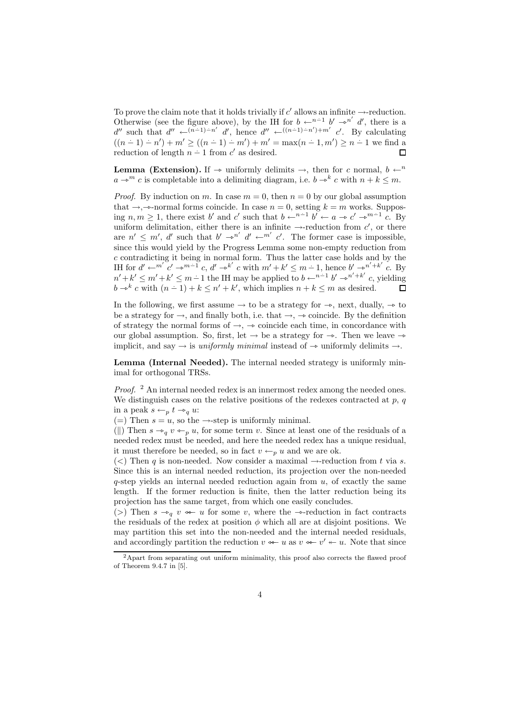To prove the claim note that it holds trivially if  $c'$  allows an infinite  $\rightarrow$ -reduction. Otherwise (see the figure above), by the IH for  $b \leftarrow^{n-1} b' \rightarrow^{n'} d'$ , there is a d'' such that  $d'' \leftarrow (n-1) - n' \ d'$ , hence  $d'' \leftarrow ((n-1) - n') + m' \ c'$ . By calculating  $((n-1) - n') + m' \ge ((n-1) - m') + m' = \max(n-1, m') \ge n - 1$  we find a reduction of length  $n-1$  from  $c'$  as desired.  $\Box$ 

**Lemma (Extension).** If  $\rightarrow$  uniformly delimits  $\rightarrow$ , then for c normal,  $b \leftarrow^n$  $a \rightarrow^m c$  is completable into a delimiting diagram, i.e.  $b \rightarrow^k c$  with  $n + k \leq m$ .

*Proof.* By induction on m. In case  $m = 0$ , then  $n = 0$  by our global assumption that  $\rightarrow$ ,  $\rightarrow$ -normal forms coincide. In case  $n = 0$ , setting  $k = m$  works. Supposing  $n, m \geq 1$ , there exist b' and c' such that  $b \leftarrow^{n-1} b' \leftarrow a \rightarrow c' \rightarrow^{m-1} c$ . By uniform delimitation, either there is an infinite  $\rightarrow$ -reduction from  $c'$ , or there are  $n' \leq m'$ , d' such that  $b' \rightarrow n'$  d'  $\leftarrow m'$  c'. The former case is impossible, since this would yield by the Progress Lemma some non-empty reduction from c contradicting it being in normal form. Thus the latter case holds and by the IH for  $d' \leftarrow^{m'} c' \rightarrow^{m-1} c, d' \rightarrow^{k'} c$  with  $m' + k' \leq m - 1$ , hence  $b' \rightarrow^{n' + k'} c$ . By  $n' + k' \leq m' + k' \leq m - 1$  the IH may be applied to  $b \leftarrow^{n-1} b' \rightarrow^{n' + k'} c$ , yielding  $b \rightarrow k^k c$  with  $(n-1) + k \leq n' + k'$ , which implies  $n + k \leq m$  as desired. П

In the following, we first assume  $\rightarrow$  to be a strategy for  $\rightarrow$ , next, dually,  $\rightarrow$  to be a strategy for  $\rightarrow$ , and finally both, i.e. that  $\rightarrow$ ,  $\rightarrow$  coincide. By the definition of strategy the normal forms of  $\rightarrow$ ,  $\rightarrow$  coincide each time, in concordance with our global assumption. So, first, let  $\rightarrow$  be a strategy for  $\rightarrow$ . Then we leave  $\rightarrow$ implicit, and say  $\rightarrow$  is uniformly minimal instead of  $\rightarrow$  uniformly delimits  $\rightarrow$ .

Lemma (Internal Needed). The internal needed strategy is uniformly minimal for orthogonal TRSs.

*Proof.*  $^2$  An internal needed redex is an innermost redex among the needed ones. We distinguish cases on the relative positions of the redexes contracted at  $p, q$ in a peak  $s \leftarrow_p t \rightarrow_q u$ :

(=) Then  $s = u$ , so the  $\rightarrow$ -step is uniformly minimal.

(||) Then  $s \rightarrow_q v \leftarrow_p u$ , for some term v. Since at least one of the residuals of a needed redex must be needed, and here the needed redex has a unique residual, it must therefore be needed, so in fact  $v \leftarrow_p u$  and we are ok.

(<) Then q is non-needed. Now consider a maximal  $\rightarrow$ -reduction from t via s. Since this is an internal needed reduction, its projection over the non-needed  $q$ -step yields an internal needed reduction again from  $u$ , of exactly the same length. If the former reduction is finite, then the latter reduction being its projection has the same target, from which one easily concludes.

(>) Then  $s \rightarrow_q v \iff u$  for some v, where the  $\rightarrow$ -reduction in fact contracts the residuals of the redex at position  $\phi$  which all are at disjoint positions. We may partition this set into the non-needed and the internal needed residuals, and accordingly partition the reduction  $v \leftarrow u$  as  $v \leftarrow v' \leftarrow u$ . Note that since

<sup>&</sup>lt;sup>2</sup>Apart from separating out uniform minimality, this proof also corrects the flawed proof of Theorem 9.4.7 in [5].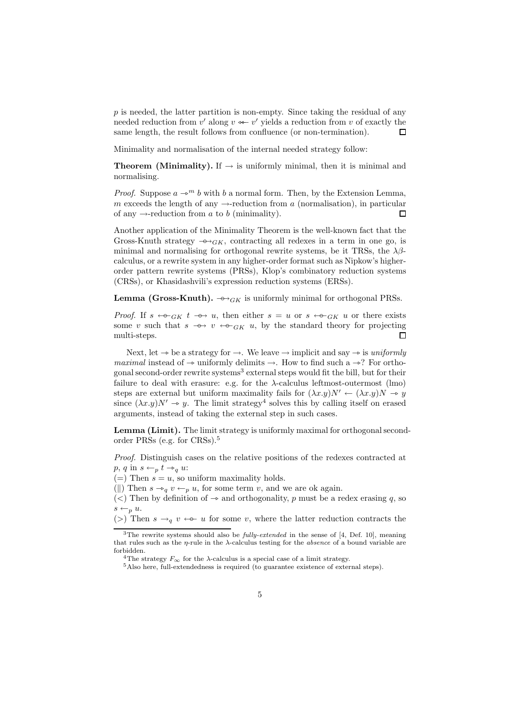$p$  is needed, the latter partition is non-empty. Since taking the residual of any needed reduction from  $v'$  along  $v \leftarrow v'$  yields a reduction from v of exactly the same length, the result follows from confluence (or non-termination).  $\Box$ 

Minimality and normalisation of the internal needed strategy follow:

**Theorem (Minimality).** If  $\rightarrow$  is uniformly minimal, then it is minimal and normalising.

*Proof.* Suppose  $a \rightarrow^m b$  with b a normal form. Then, by the Extension Lemma, m exceeds the length of any  $\rightarrow$ -reduction from a (normalisation), in particular of any  $\rightarrow$ -reduction from a to b (minimality).  $\Box$ 

Another application of the Minimality Theorem is the well-known fact that the Gross-Knuth strategy  $\rightarrow$  G<sub>K</sub>, contracting all redexes in a term in one go, is minimal and normalising for orthogonal rewrite systems, be it TRSs, the  $\lambda\beta$ calculus, or a rewrite system in any higher-order format such as Nipkow's higherorder pattern rewrite systems (PRSs), Klop's combinatory reduction systems (CRSs), or Khasidashvili's expression reduction systems (ERSs).

**Lemma (Gross-Knuth).**  $\rightarrow \rightarrow$ <sub>*GK*</sub> is uniformly minimal for orthogonal PRSs.

*Proof.* If  $s \leftrightarrow_{GK} t \to u$ , then either  $s = u$  or  $s \leftrightarrow_{GK} u$  or there exists some v such that  $s \rightarrow v \leftarrow c_{GK} u$ , by the standard theory for projecting multi-steps. П

Next, let  $\rightarrow$  be a strategy for  $\rightarrow$ . We leave  $\rightarrow$  implicit and say  $\rightarrow$  is uniformly maximal instead of  $\rightarrow$  uniformly delimits  $\rightarrow$ . How to find such a  $\rightarrow$ ? For orthogonal second-order rewrite systems<sup>3</sup> external steps would fit the bill, but for their failure to deal with erasure: e.g. for the  $\lambda$ -calculus leftmost-outermost (lmo) steps are external but uniform maximality fails for  $(\lambda x.y)N' \leftarrow (\lambda x.y)N \rightarrow y$ since  $(\lambda x.y)N' \rightarrow y$ . The limit strategy<sup>4</sup> solves this by calling itself on erased arguments, instead of taking the external step in such cases.

Lemma (Limit). The limit strategy is uniformly maximal for orthogonal secondorder PRSs (e.g. for CRSs).<sup>5</sup>

Proof. Distinguish cases on the relative positions of the redexes contracted at  $p, q$  in  $s \leftarrow_p t \rightarrow_q u$ :

(=) Then  $s = u$ , so uniform maximality holds.

(||) Then  $s \rightarrow_q v \leftarrow_p u$ , for some term v, and we are ok again.

(<) Then by definition of  $\rightarrow$  and orthogonality, p must be a redex erasing q, so  $s \leftarrow_p u$ .

(>) Then  $s \rightarrow_q v \leftrightarrow^- u$  for some v, where the latter reduction contracts the

 $3$ The rewrite systems should also be *fully-extended* in the sense of [4, Def. 10], meaning that rules such as the  $\eta$ -rule in the  $\lambda$ -calculus testing for the *absence* of a bound variable are forbidden.

<sup>&</sup>lt;sup>4</sup>The strategy  $F_{\infty}$  for the  $\lambda$ -calculus is a special case of a limit strategy.

<sup>5</sup>Also here, full-extendedness is required (to guarantee existence of external steps).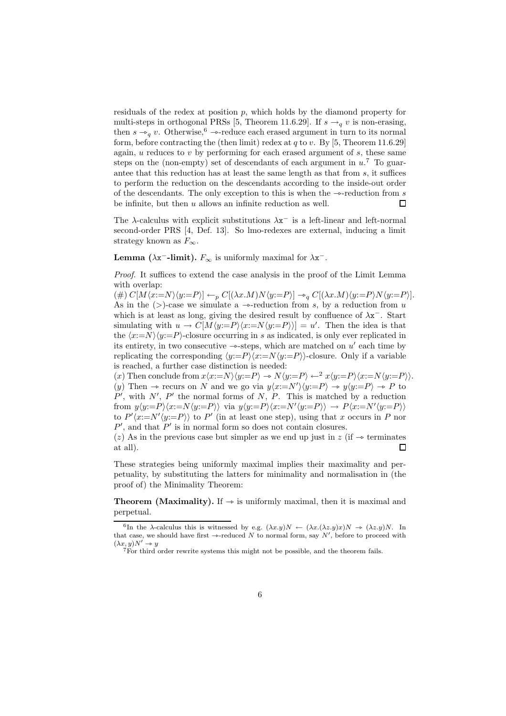residuals of the redex at position  $p$ , which holds by the diamond property for multi-steps in orthogonal PRSs [5, Theorem 11.6.29]. If  $s \rightarrow_q v$  is non-erasing, then  $s \rightarrow_q v$ . Otherwise,  $\epsilon \rightarrow$ -reduce each erased argument in turn to its normal form, before contracting the (then limit) redex at  $q$  to  $v$ . By [5, Theorem 11.6.29] again,  $u$  reduces to  $v$  by performing for each erased argument of  $s$ , these same steps on the (non-empty) set of descendants of each argument in  $u$ <sup>7</sup>. To guarantee that this reduction has at least the same length as that from s, it suffices to perform the reduction on the descendants according to the inside-out order of the descendants. The only exception to this is when the  $\rightarrow$ -reduction from s be infinite, but then  $u$  allows an infinite reduction as well. П

The  $\lambda$ -calculus with explicit substitutions  $\lambda x^-$  is a left-linear and left-normal second-order PRS [4, Def. 13]. So lmo-redexes are external, inducing a limit strategy known as  $F_{\infty}$ .

**Lemma** ( $\lambda$ **x<sup>-</sup>-limit).**  $F_{\infty}$  is uniformly maximal for  $\lambda$ **x**<sup>-</sup>.

Proof. It suffices to extend the case analysis in the proof of the Limit Lemma with overlap:

(#)  $C[M\langle x:=N\rangle\langle y:=P\rangle] \leftarrow_p C[(\lambda x.M)N\langle y:=P\rangle] \rightarrow_q C[(\lambda x.M)\langle y:=P\rangle N\langle y:=P\rangle].$ As in the  $(>)$ -case we simulate a  $\rightarrow$ -reduction from s, by a reduction from u which is at least as long, giving the desired result by confluence of  $\lambda x^-$ . Start simulating with  $u \to C[M\langle y:=P\rangle\langle x:=N\langle y:=P\rangle\rangle] = u'$ . Then the idea is that the  $\langle x:=N\rangle\langle y:=P\rangle$ -closure occurring in s as indicated, is only ever replicated in its entirety, in two consecutive  $\rightarrow$ -steps, which are matched on u' each time by replicating the corresponding  $\langle y:=P\rangle\langle x:=N\langle y:=P\rangle\rangle$ -closure. Only if a variable is reached, a further case distinction is needed:

(x) Then conclude from  $x\langle x:=N\rangle\langle y:=P\rangle \rightarrow N\langle y:=P\rangle \leftarrow^2 x\langle y:=P\rangle\langle x:=N\langle y:=P\rangle\rangle.$ (y) Then  $\rightarrow$  recurs on N and we go via  $y\langle x:=N'\rangle\langle y:=P\rangle \rightarrow y\langle y:=P\rangle \rightarrow P$  to  $P'$ , with  $N'$ ,  $P'$  the normal forms of N, P. This is matched by a reduction from  $y\langle y:=P\rangle\langle x:=N\langle y:=P\rangle\rangle$  via  $y\langle y:=P\rangle\langle x:=N'\langle y:=P\rangle\rangle \rightarrow P\langle x:=N'\langle y:=P\rangle\rangle$ to  $P' \langle x:=N' \langle y:=P \rangle$  to  $P'$  (in at least one step), using that x occurs in P nor  $P'$ , and that  $P'$  is in normal form so does not contain closures.

(z) As in the previous case but simpler as we end up just in  $z$  (if  $\rightarrow$  terminates at all). П

These strategies being uniformly maximal implies their maximality and perpetuality, by substituting the latters for minimality and normalisation in (the proof of) the Minimality Theorem:

**Theorem (Maximality).** If  $\rightarrow$  is uniformly maximal, then it is maximal and perpetual.

<sup>&</sup>lt;sup>6</sup>In the  $\lambda$ -calculus this is witnessed by e.g.  $(\lambda x.y)N \leftarrow (\lambda x.(\lambda z.y)x)N \rightarrow (\lambda z.y)N$ . In that case, we should have first  $\rightarrow$ -reduced N to normal form, say N', before to proceed with  $(\lambda x, y)N' \rightarrow y$ 

<sup>7</sup>For third order rewrite systems this might not be possible, and the theorem fails.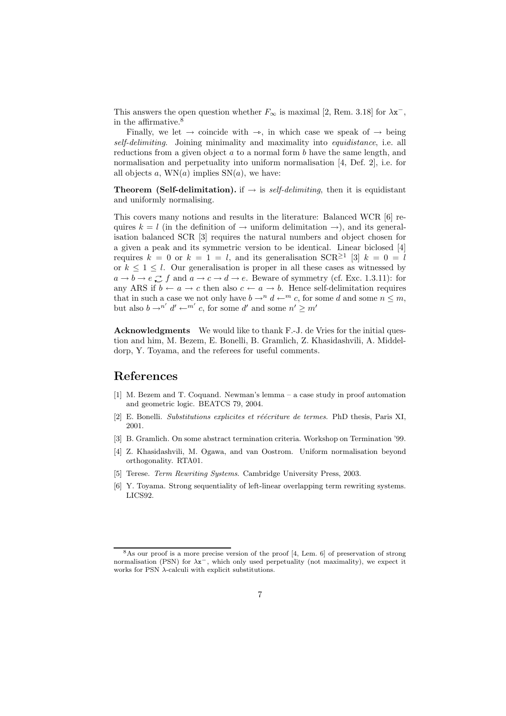This answers the open question whether  $F_{\infty}$  is maximal [2, Rem. 3.18] for  $\lambda x^{-}$ , in the affirmative.<sup>8</sup>

Finally, we let  $\rightarrow$  coincide with  $\rightarrow$ , in which case we speak of  $\rightarrow$  being self-delimiting. Joining minimality and maximality into equidistance, i.e. all reductions from a given object  $a$  to a normal form  $b$  have the same length, and normalisation and perpetuality into uniform normalisation [4, Def. 2], i.e. for all objects a,  $WN(a)$  implies  $SN(a)$ , we have:

**Theorem (Self-delimitation).** if  $\rightarrow$  is *self-delimiting*, then it is equidistant and uniformly normalising.

This covers many notions and results in the literature: Balanced WCR [6] requires  $k = l$  (in the definition of  $\rightarrow$  uniform delimitation  $\rightarrow$ ), and its generalisation balanced SCR [3] requires the natural numbers and object chosen for a given a peak and its symmetric version to be identical. Linear biclosed [4] requires  $k = 0$  or  $k = 1 = l$ , and its generalisation  $SCR^{\geq 1}$  [3]  $k = 0 = l$ or  $k \leq 1 \leq l$ . Our generalisation is proper in all these cases as witnessed by  $a \to b \to e \mathcal{L} f$  and  $a \to c \to d \to e$ . Beware of symmetry (cf. Exc. 1.3.11): for any ARS if  $b \leftarrow a \rightarrow c$  then also  $c \leftarrow a \rightarrow b$ . Hence self-delimitation requires that in such a case we not only have  $b \to n d \leftarrow m$  c, for some d and some  $n \leq m$ , but also  $b \rightarrow n'$   $d' \leftarrow m'$  c, for some d' and some  $n' \ge m'$ 

Acknowledgments We would like to thank F.-J. de Vries for the initial question and him, M. Bezem, E. Bonelli, B. Gramlich, Z. Khasidashvili, A. Middeldorp, Y. Toyama, and the referees for useful comments.

#### References

- [1] M. Bezem and T. Coquand. Newman's lemma a case study in proof automation and geometric logic. BEATCS 79, 2004.
- [2] E. Bonelli. Substitutions explicites et réécriture de termes. PhD thesis, Paris XI, 2001.
- [3] B. Gramlich. On some abstract termination criteria. Workshop on Termination '99.
- [4] Z. Khasidashvili, M. Ogawa, and van Oostrom. Uniform normalisation beyond orthogonality. RTA01.
- [5] Terese. Term Rewriting Systems. Cambridge University Press, 2003.
- [6] Y. Toyama. Strong sequentiality of left-linear overlapping term rewriting systems. LICS92.

<sup>8</sup>As our proof is a more precise version of the proof [4, Lem. 6] of preservation of strong normalisation (PSN) for  $\lambda x^-$ , which only used perpetuality (not maximality), we expect it works for PSN  $\lambda$ -calculi with explicit substitutions.